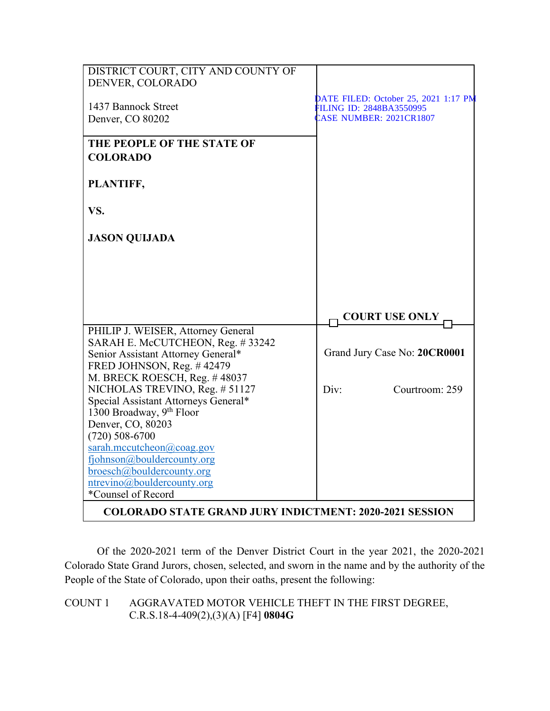| DISTRICT COURT, CITY AND COUNTY OF<br>DENVER, COLORADO                 |                                                                  |
|------------------------------------------------------------------------|------------------------------------------------------------------|
| 1437 Bannock Street                                                    | DATE FILED: October 25, 2021 1:17 PM                             |
| Denver, CO 80202                                                       | <b>ILING ID: 2848BA3550995</b><br><b>CASE NUMBER: 2021CR1807</b> |
| THE PEOPLE OF THE STATE OF<br><b>COLORADO</b>                          |                                                                  |
| PLANTIFF,                                                              |                                                                  |
| VS.                                                                    |                                                                  |
| <b>JASON QUIJADA</b>                                                   |                                                                  |
|                                                                        |                                                                  |
|                                                                        |                                                                  |
|                                                                        | <b>COURT USE ONLY</b>                                            |
| PHILIP J. WEISER, Attorney General<br>SARAH E. McCUTCHEON, Reg. #33242 |                                                                  |
| Senior Assistant Attorney General*                                     | Grand Jury Case No: 20CR0001                                     |
| FRED JOHNSON, Reg. #42479<br>M. BRECK ROESCH, Reg. #48037              |                                                                  |
| NICHOLAS TREVINO, Reg. # 51127                                         | Div:<br>Courtroom: 259                                           |
| Special Assistant Attorneys General*                                   |                                                                  |
| 1300 Broadway, 9th Floor                                               |                                                                  |
| Denver, CO, 80203                                                      |                                                                  |
| $(720)$ 508-6700<br>sarah.mccutcheon@coag.gov                          |                                                                  |
| fjohnson@bouldercounty.org                                             |                                                                  |
| broesch@bouldercounty.org                                              |                                                                  |
| ntrevino@bouldercounty.org                                             |                                                                  |
| *Counsel of Record                                                     |                                                                  |
| <b>COLORADO STATE GRAND JURY INDICTMENT: 2020-2021 SESSION</b>         |                                                                  |

Of the 2020-2021 term of the Denver District Court in the year 2021, the 2020-2021 Colorado State Grand Jurors, chosen, selected, and sworn in the name and by the authority of the People of the State of Colorado, upon their oaths, present the following:

## COUNT 1 AGGRAVATED MOTOR VEHICLE THEFT IN THE FIRST DEGREE, C.R.S.18-4-409(2),(3)(A) [F4] **0804G**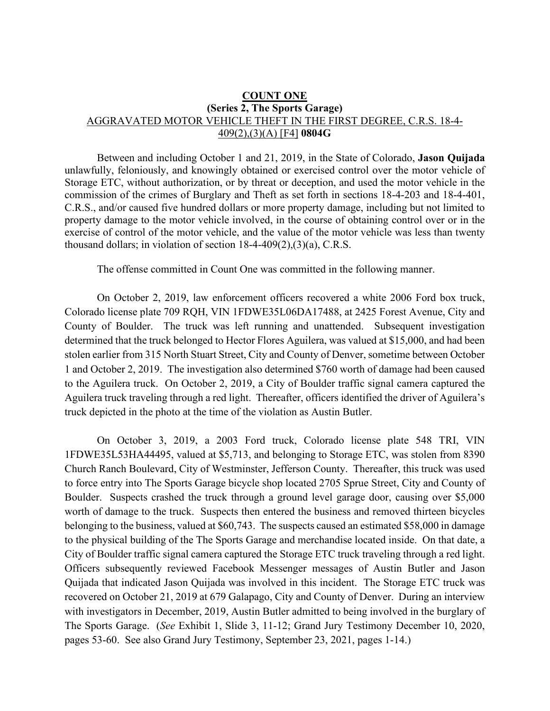## **COUNT ONE (Series 2, The Sports Garage)** AGGRAVATED MOTOR VEHICLE THEFT IN THE FIRST DEGREE, C.R.S. 18-4- 409(2),(3)(A) [F4] **0804G**

Between and including October 1 and 21, 2019, in the State of Colorado, **Jason Quijada** unlawfully, feloniously, and knowingly obtained or exercised control over the motor vehicle of Storage ETC, without authorization, or by threat or deception, and used the motor vehicle in the commission of the crimes of Burglary and Theft as set forth in sections 18-4-203 and 18-4-401, C.R.S., and/or caused five hundred dollars or more property damage, including but not limited to property damage to the motor vehicle involved, in the course of obtaining control over or in the exercise of control of the motor vehicle, and the value of the motor vehicle was less than twenty thousand dollars; in violation of section 18-4-409(2),(3)(a), C.R.S.

The offense committed in Count One was committed in the following manner.

On October 2, 2019, law enforcement officers recovered a white 2006 Ford box truck, Colorado license plate 709 RQH, VIN 1FDWE35L06DA17488, at 2425 Forest Avenue, City and County of Boulder. The truck was left running and unattended. Subsequent investigation determined that the truck belonged to Hector Flores Aguilera, was valued at \$15,000, and had been stolen earlier from 315 North Stuart Street, City and County of Denver, sometime between October 1 and October 2, 2019. The investigation also determined \$760 worth of damage had been caused to the Aguilera truck. On October 2, 2019, a City of Boulder traffic signal camera captured the Aguilera truck traveling through a red light. Thereafter, officers identified the driver of Aguilera's truck depicted in the photo at the time of the violation as Austin Butler.

On October 3, 2019, a 2003 Ford truck, Colorado license plate 548 TRI, VIN 1FDWE35L53HA44495, valued at \$5,713, and belonging to Storage ETC, was stolen from 8390 Church Ranch Boulevard, City of Westminster, Jefferson County. Thereafter, this truck was used to force entry into The Sports Garage bicycle shop located 2705 Sprue Street, City and County of Boulder. Suspects crashed the truck through a ground level garage door, causing over \$5,000 worth of damage to the truck. Suspects then entered the business and removed thirteen bicycles belonging to the business, valued at \$60,743. The suspects caused an estimated \$58,000 in damage to the physical building of the The Sports Garage and merchandise located inside. On that date, a City of Boulder traffic signal camera captured the Storage ETC truck traveling through a red light. Officers subsequently reviewed Facebook Messenger messages of Austin Butler and Jason Quijada that indicated Jason Quijada was involved in this incident. The Storage ETC truck was recovered on October 21, 2019 at 679 Galapago, City and County of Denver. During an interview with investigators in December, 2019, Austin Butler admitted to being involved in the burglary of The Sports Garage. (*See* Exhibit 1, Slide 3, 11-12; Grand Jury Testimony December 10, 2020, pages 53-60. See also Grand Jury Testimony, September 23, 2021, pages 1-14.)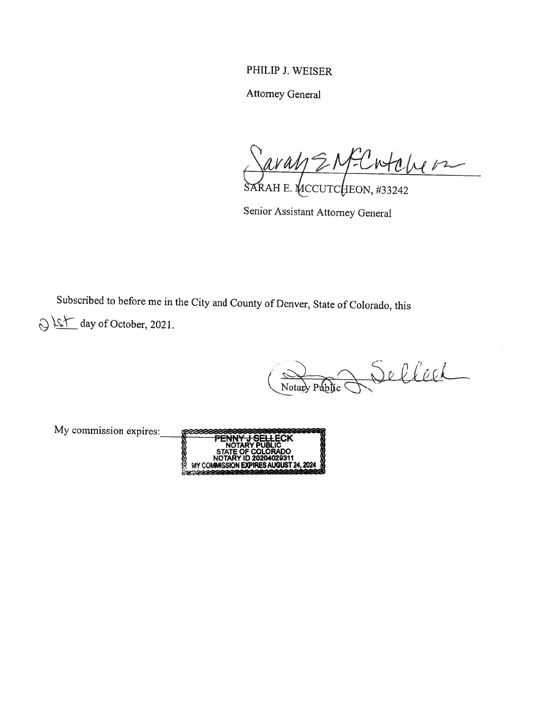## PHILIP J. WEISER

Attorney General

Saray ENFC wtolver SARAH E. MCCUTCHEON, #33242

Senior Assistant Attorney General

Subscribed to before me in the City and County of Denver, State of Colorado, this  $\bigcirc$   $\frac{\sum f}{\sum}$  day of October, 2021.

Notart Public Delleel

My commission expires: ECIPTE ECK NOTARY PUBLIC<br>STATE OF COLORADO NOTAR **REBEE** NOTARY ID 20204029311MY COMMISSION EXPIRES AUGUST 24, 2024